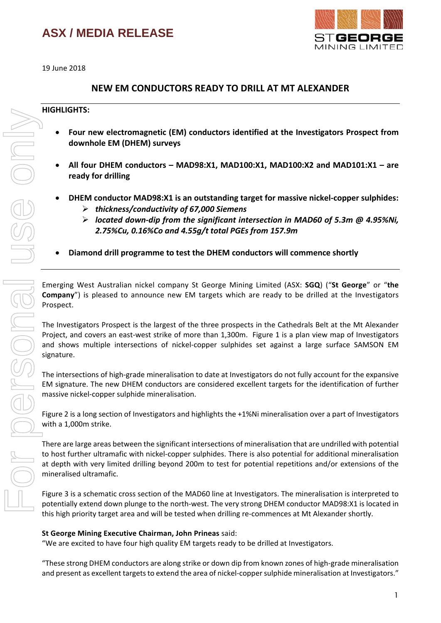

19 June 2018

### **NEW EM CONDUCTORS READY TO DRILL AT MT ALEXANDER**

### **HIGHLIGHTS:**

- **Four new electromagnetic (EM) conductors identified at the Investigators Prospect from downhole EM (DHEM) surveys**
- **All four DHEM conductors – MAD98:X1, MAD100:X1, MAD100:X2 and MAD101:X1 – are ready for drilling**
- **DHEM conductor MAD98:X1 is an outstanding target for massive nickel-copper sulphides:** *thickness/conductivity of 67,000 Siemens* 
	- *located down-dip from the significant intersection in MAD60 of 5.3m @ 4.95%Ni, 2.75%Cu, 0.16%Co and 4.55g/t total PGEs from 157.9m*
- **Diamond drill programme to test the DHEM conductors will commence shortly**

Emerging West Australian nickel company St George Mining Limited (ASX: **SGQ**) ("**St George**" or "**the Company**") is pleased to announce new EM targets which are ready to be drilled at the Investigators Prospect.

The Investigators Prospect is the largest of the three prospects in the Cathedrals Belt at the Mt Alexander Project, and covers an east-west strike of more than 1,300m. Figure 1 is a plan view map of Investigators and shows multiple intersections of nickel-copper sulphides set against a large surface SAMSON EM signature.

The intersections of high-grade mineralisation to date at Investigators do not fully account for the expansive EM signature. The new DHEM conductors are considered excellent targets for the identification of further massive nickel-copper sulphide mineralisation.

Figure 2 is a long section of Investigators and highlights the +1%Ni mineralisation over a part of Investigators with a 1,000m strike.

There are large areas between the significant intersections of mineralisation that are undrilled with potential to host further ultramafic with nickel-copper sulphides. There is also potential for additional mineralisation at depth with very limited drilling beyond 200m to test for potential repetitions and/or extensions of the mineralised ultramafic.

Figure 3 is a schematic cross section of the MAD60 line at Investigators. The mineralisation is interpreted to potentially extend down plunge to the north-west. The very strong DHEM conductor MAD98:X1 is located in this high priority target area and will be tested when drilling re-commences at Mt Alexander shortly.

#### **St George Mining Executive Chairman, John Prineas** said:

"We are excited to have four high quality EM targets ready to be drilled at Investigators.

"These strong DHEM conductors are along strike or down dip from known zones of high-grade mineralisation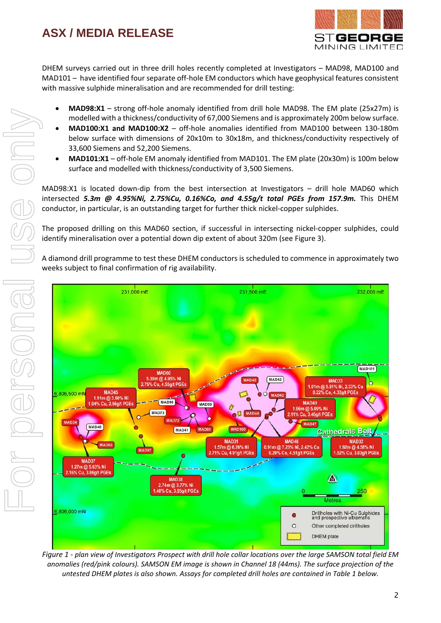

DHEM surveys carried out in three drill holes recently completed at Investigators – MAD98, MAD100 and MAD101 – have identified four separate off-hole EM conductors which have geophysical features consistent with massive sulphide mineralisation and are recommended for drill testing:

- **MAD98:X1** strong off-hole anomaly identified from drill hole MAD98. The EM plate (25x27m) is modelled with a thickness/conductivity of 67,000 Siemens and is approximately 200m below surface.
- **MAD100:X1 and MAD100:X2** off-hole anomalies identified from MAD100 between 130-180m below surface with dimensions of 20x10m to 30x18m, and thickness/conductivity respectively of 33,600 Siemens and 52,200 Siemens.
- **MAD101:X1** off-hole EM anomaly identified from MAD101. The EM plate (20x30m) is 100m below surface and modelled with thickness/conductivity of 3,500 Siemens.

MAD98:X1 is located down-dip from the best intersection at Investigators – drill hole MAD60 which intersected *5.3m @ 4.95%Ni, 2.75%Cu, 0.16%Co, and 4.55g/t total PGEs from 157.9m.* This DHEM conductor, in particular, is an outstanding target for further thick nickel-copper sulphides.

The proposed drilling on this MAD60 section, if successful in intersecting nickel-copper sulphides, could identify mineralisation over a potential down dip extent of about 320m (see Figure 3).

A diamond drill programme to test these DHEM conductors is scheduled to commence in approximately two weeks subject to final confirmation of rig availability.



*Figure 1 - plan view of Investigators Prospect with drill hole collar locations over the large SAMSON total field EM anomalies (red/pink colours). SAMSON EM image is shown in Channel 18 (44ms). The surface projection of the untested DHEM plates is also shown. Assays for completed drill holes are contained in Table 1 below.*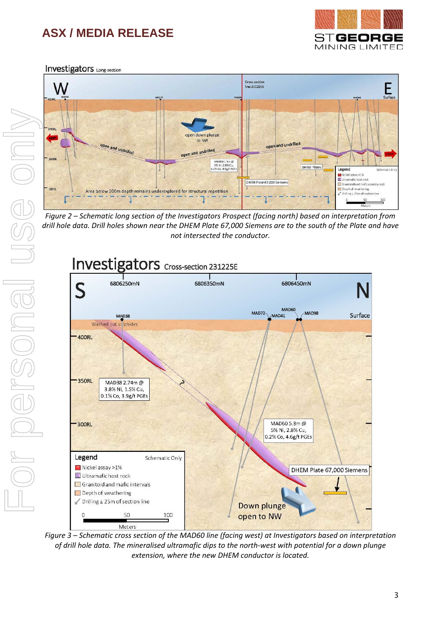

**Investigators** Long-section



*Figure 2 – Schematic long section of the Investigators Prospect (facing north) based on interpretation from drill hole data. Drill holes shown near the DHEM Plate 67,000 Siemens are to the south of the Plate and have not intersected the conductor.*



*Figure 3 – Schematic cross section of the MAD60 line (facing west) at Investigators based on interpretation of drill hole data. The mineralised ultramafic dips to the north-west with potential for a down plunge extension, where the new DHEM conductor is located.*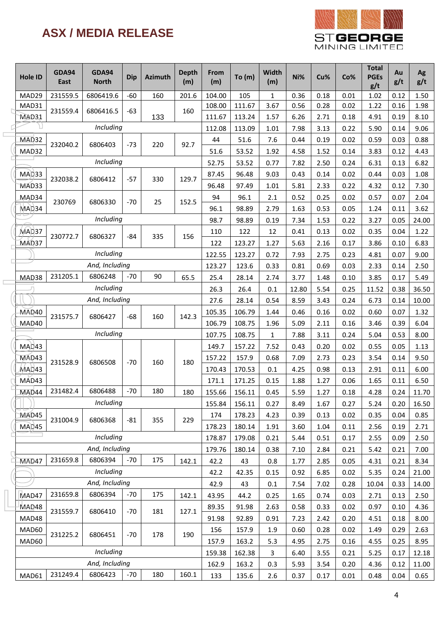

| Hole ID | <b>GDA94</b><br>East | <b>GDA94</b><br><b>North</b> | <b>Dip</b> | <b>Azimuth</b> | <b>Depth</b><br>(m) | From<br>(m) | To $(m)$ | <b>Width</b><br>(m) | Ni%   | Cu%  | Co%  | <b>Total</b><br><b>PGEs</b><br>g/t | Au<br>g/t | Ag<br>g/t |
|---------|----------------------|------------------------------|------------|----------------|---------------------|-------------|----------|---------------------|-------|------|------|------------------------------------|-----------|-----------|
| MAD29   | 231559.5             | 6806419.6                    | $-60$      | 160            | 201.6               | 104.00      | 105      | 1                   | 0.36  | 0.18 | 0.01 | 1.02                               | 0.12      | 1.50      |
| MAD31   | 231559.4             | 6806416.5                    | -63        |                | 160                 | 108.00      | 111.67   | 3.67                | 0.56  | 0.28 | 0.02 | 1.22                               | 0.16      | 1.98      |
| MAD31   |                      |                              |            | 133            |                     | 111.67      | 113.24   | 1.57                | 6.26  | 2.71 | 0.18 | 4.91                               | 0.19      | 8.10      |
|         |                      | Including                    |            |                |                     | 112.08      | 113.09   | 1.01                | 7.98  | 3.13 | 0.22 | 5.90                               | 0.14      | 9.06      |
| MAD32   | 232040.2             | 6806403                      | $-73$      | 220            | 92.7                | 44          | 51.6     | 7.6                 | 0.44  | 0.19 | 0.02 | 0.59                               | 0.03      | 0.88      |
| MAD32   |                      |                              |            |                |                     | 51.6        | 53.52    | 1.92                | 4.58  | 1.52 | 0.14 | 3.83                               | 0.12      | 4.43      |
|         |                      | Including                    |            |                |                     | 52.75       | 53.52    | 0.77                | 7.82  | 2.50 | 0.24 | 6.31                               | 0.13      | 6.82      |
| MAD33   | 232038.2             | 6806412                      | $-57$      | 330            | 129.7               | 87.45       | 96.48    | 9.03                | 0.43  | 0.14 | 0.02 | 0.44                               | 0.03      | 1.08      |
| MAD33   |                      |                              |            |                |                     | 96.48       | 97.49    | 1.01                | 5.81  | 2.33 | 0.22 | 4.32                               | 0.12      | 7.30      |
| MAD34   | 230769               | 6806330                      | $-70$      | 25             | 152.5               | 94          | 96.1     | 2.1                 | 0.52  | 0.25 | 0.02 | 0.57                               | 0.07      | 2.04      |
| MAD34   |                      |                              |            |                |                     | 96.1        | 98.89    | 2.79                | 1.63  | 0.53 | 0.05 | 1.24                               | 0.11      | 3.62      |
|         |                      | Including                    |            |                |                     | 98.7        | 98.89    | 0.19                | 7.34  | 1.53 | 0.22 | 3.27                               | 0.05      | 24.00     |
| MAD37   | 230772.7             | 6806327                      | $-84$      | 335            | 156                 | 110         | 122      | 12                  | 0.41  | 0.13 | 0.02 | 0.35                               | 0.04      | 1.22      |
| MAD37   |                      |                              |            |                |                     | 122         | 123.27   | 1.27                | 5.63  | 2.16 | 0.17 | 3.86                               | 0.10      | 6.83      |
|         |                      | Including                    |            |                |                     | 122.55      | 123.27   | 0.72                | 7.93  | 2.75 | 0.23 | 4.81                               | 0.07      | 9.00      |
|         |                      | And, Including               |            |                |                     | 123.27      | 123.6    | 0.33                | 0.81  | 0.69 | 0.03 | 2.33                               | 0.14      | 2.50      |
| MAD38   | 231205.1             | 6806248                      | $-70$      | 90             | 65.5                | 25.4        | 28.14    | 2.74                | 3.77  | 1.48 | 0.10 | 3.85                               | 0.17      | 5.49      |
|         |                      | Including                    |            |                |                     | 26.3        | 26.4     | 0.1                 | 12.80 | 5.54 | 0.25 | 11.52                              | 0.38      | 36.50     |
|         |                      | And, Including               |            |                |                     | 27.6        | 28.14    | 0.54                | 8.59  | 3.43 | 0.24 | 6.73                               | 0.14      | 10.00     |
| MAD40   | 231575.7             | 6806427                      | -68        | 160            | 142.3               | 105.35      | 106.79   | 1.44                | 0.46  | 0.16 | 0.02 | 0.60                               | 0.07      | 1.32      |
| MAD40   |                      |                              |            |                |                     | 106.79      | 108.75   | 1.96                | 5.09  | 2.11 | 0.16 | 3.46                               | 0.39      | 6.04      |
|         |                      | Including                    |            |                |                     | 107.75      | 108.75   | 1                   | 7.88  | 3.11 | 0.24 | 5.04                               | 0.53      | 8.00      |
| MAD43   |                      |                              |            |                |                     | 149.7       | 157.22   | 7.52                | 0.43  | 0.20 | 0.02 | 0.55                               | 0.05      | 1.13      |
| MAD43   | 231528.9             | 6806508                      | $-70$      | 160            | 180                 | 157.22      | 157.9    | 0.68                | 7.09  | 2.73 | 0.23 | 3.54                               | 0.14      | 9.50      |
| MAD43   |                      |                              |            |                |                     | 170.43      | 170.53   | 0.1                 | 4.25  | 0.98 | 0.13 | 2.91                               | 0.11      | 6.00      |
| MAD43   |                      |                              |            |                |                     | 171.1       | 171.25   | 0.15                | 1.88  | 1.27 | 0.06 | 1.65                               | 0.11      | 6.50      |
| MAD44   | 231482.4             | 6806488                      | $-70$      | 180            | 180                 | 155.66      | 156.11   | 0.45                | 5.59  | 1.27 | 0.18 | 4.28                               | 0.24      | 11.70     |
|         |                      | Including                    |            |                |                     | 155.84      | 156.11   | 0.27                | 8.49  | 1.67 | 0.27 | 5.24                               | 0.20      | 16.50     |
| MAD45   | 231004.9             | 6806368                      | $-81$      | 355            | 229                 | 174         | 178.23   | 4.23                | 0.39  | 0.13 | 0.02 | 0.35                               | 0.04      | 0.85      |
| MAD45   |                      |                              |            |                |                     | 178.23      | 180.14   | 1.91                | 3.60  | 1.04 | 0.11 | 2.56                               | 0.19      | 2.71      |
|         |                      | Including                    |            |                |                     | 178.87      | 179.08   | 0.21                | 5.44  | 0.51 | 0.17 | 2.55                               | 0.09      | 2.50      |
|         |                      | And, Including               |            |                |                     | 179.76      | 180.14   | 0.38                | 7.10  | 2.84 | 0.21 | 5.42                               | 0.21      | 7.00      |
| MAD47   | 231659.8             | 6806394                      | $-70$      | 175            | 142.1               | 42.2        | 43       | 0.8                 | 1.77  | 2.85 | 0.05 | 4.31                               | 0.21      | 8.34      |
|         |                      | Including                    |            |                |                     | 42.2        | 42.35    | 0.15                | 0.92  | 6.85 | 0.02 | 5.35                               | 0.24      | 21.00     |
|         |                      | And, Including               |            |                |                     | 42.9        | 43       | 0.1                 | 7.54  | 7.02 | 0.28 | 10.04                              | 0.33      | 14.00     |
| MAD47   | 231659.8             | 6806394                      | -70        | 175            | 142.1               | 43.95       | 44.2     | 0.25                | 1.65  | 0.74 | 0.03 | 2.71                               | 0.13      | 2.50      |
| MAD48   | 231559.7             | 6806410                      | $-70$      | 181            | 127.1               | 89.35       | 91.98    | 2.63                | 0.58  | 0.33 | 0.02 | 0.97                               | 0.10      | 4.36      |
| MAD48   |                      |                              |            |                |                     | 91.98       | 92.89    | 0.91                | 7.23  | 2.42 | 0.20 | 4.51                               | 0.18      | 8.00      |
| MAD60   | 231225.2             | 6806451                      | $-70$      | 178            | 190                 | 156         | 157.9    | 1.9                 | 0.60  | 0.28 | 0.02 | 1.49                               | 0.29      | 2.63      |
| MAD60   |                      |                              |            |                |                     | 157.9       | 163.2    | 5.3                 | 4.95  | 2.75 | 0.16 | 4.55                               | 0.25      | 8.95      |
|         |                      | Including                    |            |                |                     | 159.38      | 162.38   | 3                   | 6.40  | 3.55 | 0.21 | 5.25                               | 0.17      | 12.18     |
|         |                      | And, Including               |            |                |                     | 162.9       | 163.2    | 0.3                 | 5.93  | 3.54 | 0.20 | 4.36                               | 0.12      | 11.00     |
| MAD61   | 231249.4             | 6806423                      | -70        | 180            | 160.1               | 133         | 135.6    | 2.6                 | 0.37  | 0.17 | 0.01 | 0.48                               | 0.04      | 0.65      |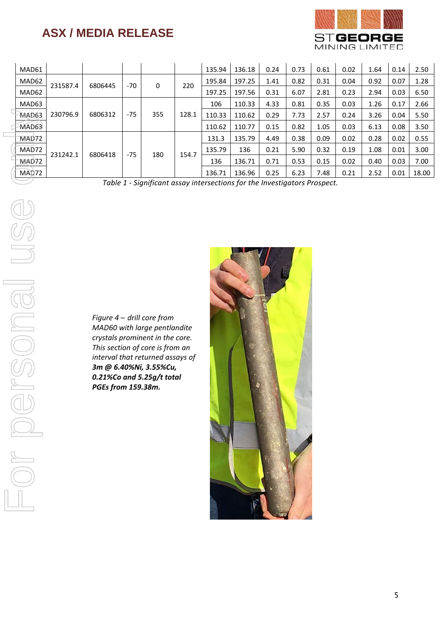

| MAD61 |          |         |       |     |       | 135.94 | 136.18 | 0.24 | 0.73 | 0.61 | 0.02 | 1.64 | 0.14 | 2.50  |
|-------|----------|---------|-------|-----|-------|--------|--------|------|------|------|------|------|------|-------|
| MAD62 | 231587.4 | 6806445 | $-70$ | 0   | 220   | 195.84 | 197.25 | 1.41 | 0.82 | 0.31 | 0.04 | 0.92 | 0.07 | 1.28  |
| MAD62 |          |         |       |     |       | 197.25 | 197.56 | 0.31 | 6.07 | 2.81 | 0.23 | 2.94 | 0.03 | 6.50  |
| MAD63 |          |         |       |     |       | 106    | 110.33 | 4.33 | 0.81 | 0.35 | 0.03 | 1.26 | 0.17 | 2.66  |
| MAD63 | 230796.9 | 6806312 | $-75$ | 355 | 128.1 | 110.33 | 110.62 | 0.29 | 7.73 | 2.57 | 0.24 | 3.26 | 0.04 | 5.50  |
| MAD63 |          |         |       |     |       | 110.62 | 110.77 | 0.15 | 0.82 | 1.05 | 0.03 | 6.13 | 0.08 | 3.50  |
| MAD72 |          | 6806418 | $-75$ | 180 | 154.7 | 131.3  | 135.79 | 4.49 | 0.38 | 0.09 | 0.02 | 0.28 | 0.02 | 0.55  |
| MAD72 | 231242.1 |         |       |     |       | 135.79 | 136    | 0.21 | 5.90 | 0.32 | 0.19 | 1.08 | 0.01 | 3.00  |
| MAD72 |          |         |       |     |       | 136    | 136.71 | 0.71 | 0.53 | 0.15 | 0.02 | 0.40 | 0.03 | 7.00  |
| MAD72 |          |         |       |     |       | 136.71 | 136.96 | 0.25 | 6.23 | 7.48 | 0.21 | 2.52 | 0.01 | 18.00 |

*Table 1 - Significant assay intersections for the Investigators Prospect.*

*Figure 4 – drill core from MAD60 with large pentlandite crystals prominent in the core. This section of core is from an interval that returned assays of 3m @ 6.40%Ni, 3.55%Cu, 0.21%Co and 5.25g/t total PGEs from 159.38m.*

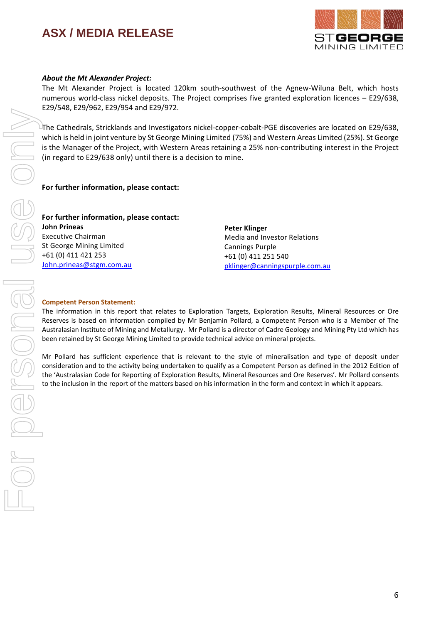

#### *About the Mt Alexander Project:*

The Mt Alexander Project is located 120km south-southwest of the Agnew-Wiluna Belt, which hosts numerous world-class nickel deposits. The Project comprises five granted exploration licences – E29/638, E29/548, E29/962, E29/954 and E29/972.

The Cathedrals, Stricklands and Investigators nickel-copper-cobalt-PGE discoveries are located on E29/638, which is held in joint venture by St George Mining Limited (75%) and Western Areas Limited (25%). St George is the Manager of the Project, with Western Areas retaining a 25% non-contributing interest in the Project (in regard to E29/638 only) until there is a decision to mine.

#### **For further information, please contact:**

### **For further information, please contact:**

**John Prineas** Executive Chairman St George Mining Limited +61 (0) 411 421 253 [John.prineas@stgm.com.au](mailto:John.prineas@stgm.com.au) **Peter Klinger** Media and Investor Relations Cannings Purple +61 (0) 411 251 540 [pklinger@canningspurple.com.au](mailto:pklinger@canningspurple.com.au)

#### **Competent Person Statement:**

The information in this report that relates to Exploration Targets, Exploration Results, Mineral Resources or Ore Reserves is based on information compiled by Mr Benjamin Pollard, a Competent Person who is a Member of The Australasian Institute of Mining and Metallurgy. Mr Pollard is a director of Cadre Geology and Mining Pty Ltd which has been retained by St George Mining Limited to provide technical advice on mineral projects.

Mr Pollard has sufficient experience that is relevant to the style of mineralisation and type of deposit under consideration and to the activity being undertaken to qualify as a Competent Person as defined in the 2012 Edition of the 'Australasian Code for Reporting of Exploration Results, Mineral Resources and Ore Reserves'. Mr Pollard consents to the inclusion in the report of the matters based on his information in the form and context in which it appears.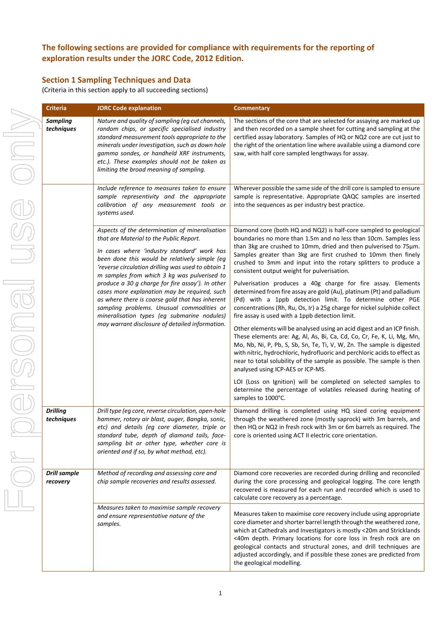### **The following sections are provided for compliance with requirements for the reporting of exploration results under the JORC Code, 2012 Edition.**

### **Section 1 Sampling Techniques and Data**

(Criteria in this section apply to all succeeding sections)

|  | <b>Criteria</b>                 | <b>JORC Code explanation</b>                                                                                                                                                                                                                                                                                                                    | <b>Commentary</b>                                                                                                                                                                                                                                                                                                                                                                                                                                                |
|--|---------------------------------|-------------------------------------------------------------------------------------------------------------------------------------------------------------------------------------------------------------------------------------------------------------------------------------------------------------------------------------------------|------------------------------------------------------------------------------------------------------------------------------------------------------------------------------------------------------------------------------------------------------------------------------------------------------------------------------------------------------------------------------------------------------------------------------------------------------------------|
|  | <b>Sampling</b><br>techniques   | Nature and quality of sampling (eg cut channels,<br>random chips, or specific specialised industry<br>standard measurement tools appropriate to the<br>minerals under investigation, such as down hole<br>gamma sondes, or handheld XRF instruments,<br>etc.). These examples should not be taken as<br>limiting the broad meaning of sampling. | The sections of the core that are selected for assaying are marked up<br>and then recorded on a sample sheet for cutting and sampling at the<br>certified assay laboratory. Samples of HQ or NQ2 core are cut just to<br>the right of the orientation line where available using a diamond core<br>saw, with half core sampled lengthways for assay.                                                                                                             |
|  |                                 | Include reference to measures taken to ensure<br>sample representivity and the appropriate<br>calibration of any measurement tools or<br>systems used.                                                                                                                                                                                          | Wherever possible the same side of the drill core is sampled to ensure<br>sample is representative. Appropriate QAQC samples are inserted<br>into the sequences as per industry best practice.                                                                                                                                                                                                                                                                   |
|  |                                 | Aspects of the determination of mineralisation<br>that are Material to the Public Report.<br>In cases where 'industry standard' work has<br>been done this would be relatively simple (eg<br>'reverse circulation drilling was used to obtain 1<br>m samples from which 3 kg was pulverised to                                                  | Diamond core (both HQ and NQ2) is half-core sampled to geological<br>boundaries no more than 1.5m and no less than 10cm. Samples less<br>than 3kg are crushed to 10mm, dried and then pulverised to 75µm.<br>Samples greater than 3kg are first crushed to 10mm then finely<br>crushed to 3mm and input into the rotary splitters to produce a<br>consistent output weight for pulverisation.                                                                    |
|  |                                 | produce a 30 g charge for fire assay'). In other<br>cases more explanation may be required, such<br>as where there is coarse gold that has inherent<br>sampling problems. Unusual commodities or<br>mineralisation types (eg submarine nodules)                                                                                                 | Pulverisation produces a 40g charge for fire assay. Elements<br>determined from fire assay are gold (Au), platinum (Pt) and palladium<br>(Pd) with a 1ppb detection limit. To determine other PGE<br>concentrations (Rh, Ru, Os, Ir) a 25g charge for nickel sulphide collect<br>fire assay is used with a 1ppb detection limit.                                                                                                                                 |
|  |                                 | may warrant disclosure of detailed information.                                                                                                                                                                                                                                                                                                 | Other elements will be analysed using an acid digest and an ICP finish.<br>These elements are: Ag, Al, As, Bi, Ca, Cd, Co, Cr, Fe, K, Li, Mg, Mn,<br>Mo, Nb, Ni, P, Pb, S, Sb, Sn, Te, Ti, V, W, Zn. The sample is digested<br>with nitric, hydrochloric, hydrofluoric and perchloric acids to effect as<br>near to total solubility of the sample as possible. The sample is then<br>analysed using ICP-AES or ICP-MS.                                          |
|  |                                 |                                                                                                                                                                                                                                                                                                                                                 | LOI (Loss on Ignition) will be completed on selected samples to<br>determine the percentage of volatiles released during heating of<br>samples to 1000°C.                                                                                                                                                                                                                                                                                                        |
|  | <b>Drilling</b><br>techniques   | Drill type (eg core, reverse circulation, open-hole<br>hammer, rotary air blast, auger, Bangka, sonic,<br>etc) and details (eg core diameter, triple or<br>standard tube, depth of diamond tails, face-<br>sampling bit or other type, whether core is<br>oriented and if so, by what method, etc).                                             | Diamond drilling is completed using HQ sized coring equipment<br>through the weathered zone (mostly saprock) with 3m barrels, and<br>then HQ or NQ2 in fresh rock with 3m or 6m barrels as required. The<br>core is oriented using ACT II electric core orientation.                                                                                                                                                                                             |
|  | <b>Drill sample</b><br>recovery | Method of recording and assessing core and<br>chip sample recoveries and results assessed.                                                                                                                                                                                                                                                      | Diamond core recoveries are recorded during drilling and reconciled<br>during the core processing and geological logging. The core length<br>recovered is measured for each run and recorded which is used to<br>calculate core recovery as a percentage.                                                                                                                                                                                                        |
|  |                                 | Measures taken to maximise sample recovery<br>and ensure representative nature of the<br>samples.                                                                                                                                                                                                                                               | Measures taken to maximise core recovery include using appropriate<br>core diameter and shorter barrel length through the weathered zone,<br>which at Cathedrals and Investigators is mostly <20m and Stricklands<br><40m depth. Primary locations for core loss in fresh rock are on<br>geological contacts and structural zones, and drill techniques are<br>adjusted accordingly, and if possible these zones are predicted from<br>the geological modelling. |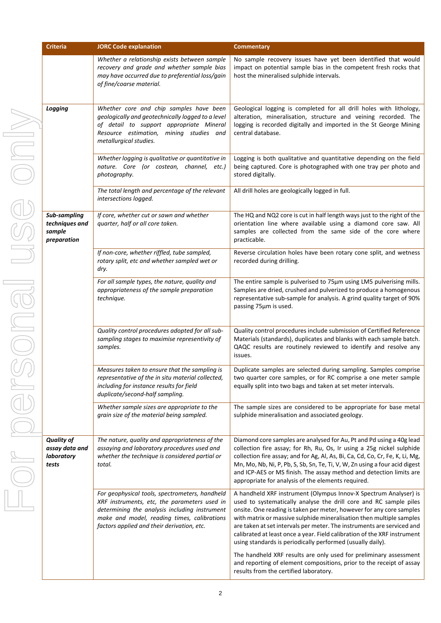| <b>Criteria</b>                                            | <b>JORC Code explanation</b>                                                                                                                                                                                                                 | <b>Commentary</b>                                                                                                                                                                                                                                                                                                                                                                                                                                                                                         |
|------------------------------------------------------------|----------------------------------------------------------------------------------------------------------------------------------------------------------------------------------------------------------------------------------------------|-----------------------------------------------------------------------------------------------------------------------------------------------------------------------------------------------------------------------------------------------------------------------------------------------------------------------------------------------------------------------------------------------------------------------------------------------------------------------------------------------------------|
|                                                            | Whether a relationship exists between sample<br>recovery and grade and whether sample bias<br>may have occurred due to preferential loss/gain<br>of fine/coarse material.                                                                    | No sample recovery issues have yet been identified that would<br>impact on potential sample bias in the competent fresh rocks that<br>host the mineralised sulphide intervals.                                                                                                                                                                                                                                                                                                                            |
| Logging                                                    | Whether core and chip samples have been<br>geologically and geotechnically logged to a level<br>of detail to support appropriate Mineral<br>Resource estimation, mining studies and<br>metallurgical studies.                                | Geological logging is completed for all drill holes with lithology,<br>alteration, mineralisation, structure and veining recorded. The<br>logging is recorded digitally and imported in the St George Mining<br>central database.                                                                                                                                                                                                                                                                         |
|                                                            | Whether logging is qualitative or quantitative in<br>nature. Core (or costean, channel, etc.)<br>photography.                                                                                                                                | Logging is both qualitative and quantitative depending on the field<br>being captured. Core is photographed with one tray per photo and<br>stored digitally.                                                                                                                                                                                                                                                                                                                                              |
|                                                            | The total length and percentage of the relevant<br>intersections logged.                                                                                                                                                                     | All drill holes are geologically logged in full.                                                                                                                                                                                                                                                                                                                                                                                                                                                          |
| Sub-sampling<br>techniques and<br>sample<br>preparation    | If core, whether cut or sawn and whether<br>quarter, half or all core taken.                                                                                                                                                                 | The HQ and NQ2 core is cut in half length ways just to the right of the<br>orientation line where available using a diamond core saw. All<br>samples are collected from the same side of the core where<br>practicable.                                                                                                                                                                                                                                                                                   |
|                                                            | If non-core, whether riffled, tube sampled,<br>rotary split, etc and whether sampled wet or<br>dry.                                                                                                                                          | Reverse circulation holes have been rotary cone split, and wetness<br>recorded during drilling.                                                                                                                                                                                                                                                                                                                                                                                                           |
|                                                            | For all sample types, the nature, quality and<br>appropriateness of the sample preparation<br>technique.                                                                                                                                     | The entire sample is pulverised to 75µm using LM5 pulverising mills.<br>Samples are dried, crushed and pulverized to produce a homogenous<br>representative sub-sample for analysis. A grind quality target of 90%<br>passing 75µm is used.                                                                                                                                                                                                                                                               |
|                                                            | Quality control procedures adopted for all sub-<br>sampling stages to maximise representivity of<br>samples.                                                                                                                                 | Quality control procedures include submission of Certified Reference<br>Materials (standards), duplicates and blanks with each sample batch.<br>QAQC results are routinely reviewed to identify and resolve any<br>issues.                                                                                                                                                                                                                                                                                |
|                                                            | Measures taken to ensure that the sampling is<br>representative of the in situ material collected,<br>including for instance results for field<br>duplicate/second-half sampling.                                                            | Duplicate samples are selected during sampling. Samples comprise<br>two quarter core samples, or for RC comprise a one meter sample<br>equally split into two bags and taken at set meter intervals.                                                                                                                                                                                                                                                                                                      |
|                                                            | Whether sample sizes are appropriate to the<br>grain size of the material being sampled.                                                                                                                                                     | The sample sizes are considered to be appropriate for base metal<br>sulphide mineralisation and associated geology.                                                                                                                                                                                                                                                                                                                                                                                       |
| <b>Quality of</b><br>assay data and<br>laboratory<br>tests | The nature, quality and appropriateness of the<br>assaying and laboratory procedures used and<br>whether the technique is considered partial or<br>total.                                                                                    | Diamond core samples are analysed for Au, Pt and Pd using a 40g lead<br>collection fire assay; for Rh, Ru, Os, Ir using a 25g nickel sulphide<br>collection fire assay; and for Ag, Al, As, Bi, Ca, Cd, Co, Cr, Fe, K, Li, Mg,<br>Mn, Mo, Nb, Ni, P, Pb, S, Sb, Sn, Te, Ti, V, W, Zn using a four acid digest<br>and ICP-AES or MS finish. The assay method and detection limits are<br>appropriate for analysis of the elements required.                                                                |
|                                                            | For geophysical tools, spectrometers, handheld<br>XRF instruments, etc, the parameters used in<br>determining the analysis including instrument<br>make and model, reading times, calibrations<br>factors applied and their derivation, etc. | A handheld XRF instrument (Olympus Innov-X Spectrum Analyser) is<br>used to systematically analyse the drill core and RC sample piles<br>onsite. One reading is taken per meter, however for any core samples<br>with matrix or massive sulphide mineralisation then multiple samples<br>are taken at set intervals per meter. The instruments are serviced and<br>calibrated at least once a year. Field calibration of the XRF instrument<br>using standards is periodically performed (usually daily). |
|                                                            |                                                                                                                                                                                                                                              | The handheld XRF results are only used for preliminary assessment<br>and reporting of element compositions, prior to the receipt of assay<br>results from the certified laboratory.                                                                                                                                                                                                                                                                                                                       |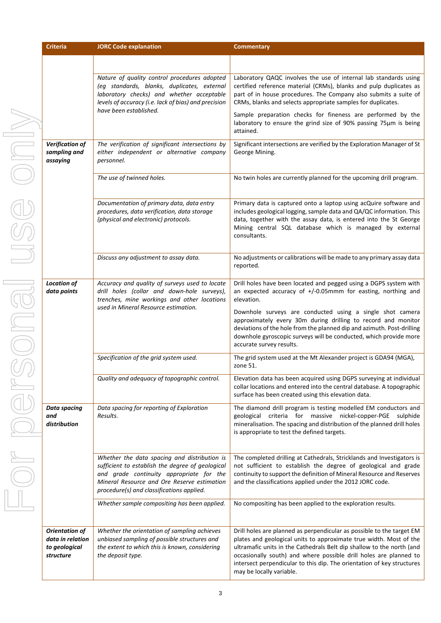| <b>Criteria</b>                                                         | <b>JORC Code explanation</b>                                                                                                                                                                                                             | <b>Commentary</b>                                                                                                                                                                                                                                                                                                                                                                               |
|-------------------------------------------------------------------------|------------------------------------------------------------------------------------------------------------------------------------------------------------------------------------------------------------------------------------------|-------------------------------------------------------------------------------------------------------------------------------------------------------------------------------------------------------------------------------------------------------------------------------------------------------------------------------------------------------------------------------------------------|
|                                                                         |                                                                                                                                                                                                                                          |                                                                                                                                                                                                                                                                                                                                                                                                 |
|                                                                         | Nature of quality control procedures adopted<br>(eg standards, blanks, duplicates, external<br>laboratory checks) and whether acceptable<br>levels of accuracy (i.e. lack of bias) and precision                                         | Laboratory QAQC involves the use of internal lab standards using<br>certified reference material (CRMs), blanks and pulp duplicates as<br>part of in house procedures. The Company also submits a suite of<br>CRMs, blanks and selects appropriate samples for duplicates.                                                                                                                      |
|                                                                         | have been established.                                                                                                                                                                                                                   | Sample preparation checks for fineness are performed by the<br>laboratory to ensure the grind size of 90% passing 75µm is being<br>attained.                                                                                                                                                                                                                                                    |
| Verification of<br>sampling and<br>assaying                             | The verification of significant intersections by<br>either independent or alternative company<br>personnel.                                                                                                                              | Significant intersections are verified by the Exploration Manager of St<br>George Mining.                                                                                                                                                                                                                                                                                                       |
|                                                                         | The use of twinned holes.                                                                                                                                                                                                                | No twin holes are currently planned for the upcoming drill program.                                                                                                                                                                                                                                                                                                                             |
|                                                                         | Documentation of primary data, data entry<br>procedures, data verification, data storage<br>(physical and electronic) protocols.                                                                                                         | Primary data is captured onto a laptop using acQuire software and<br>includes geological logging, sample data and QA/QC information. This<br>data, together with the assay data, is entered into the St George<br>Mining central SQL database which is managed by external<br>consultants.                                                                                                      |
|                                                                         | Discuss any adjustment to assay data.                                                                                                                                                                                                    | No adjustments or calibrations will be made to any primary assay data<br>reported.                                                                                                                                                                                                                                                                                                              |
| <b>Location of</b><br>data points                                       | Accuracy and quality of surveys used to locate<br>drill holes (collar and down-hole surveys),<br>trenches, mine workings and other locations<br>used in Mineral Resource estimation.                                                     | Drill holes have been located and pegged using a DGPS system with<br>an expected accuracy of $+/-0.05$ mmm for easting, northing and<br>elevation.<br>Downhole surveys are conducted using a single shot camera                                                                                                                                                                                 |
|                                                                         |                                                                                                                                                                                                                                          | approximately every 30m during drilling to record and monitor<br>deviations of the hole from the planned dip and azimuth. Post-drilling<br>downhole gyroscopic surveys will be conducted, which provide more<br>accurate survey results.                                                                                                                                                        |
|                                                                         | Specification of the grid system used.                                                                                                                                                                                                   | The grid system used at the Mt Alexander project is GDA94 (MGA),<br>zone 51.                                                                                                                                                                                                                                                                                                                    |
|                                                                         | Quality and adequacy of topographic control.                                                                                                                                                                                             | Elevation data has been acquired using DGPS surveying at individual<br>collar locations and entered into the central database. A topographic<br>surface has been created using this elevation data.                                                                                                                                                                                             |
| <b>Data spacing</b><br>and<br>distribution                              | Data spacing for reporting of Exploration<br>Results.                                                                                                                                                                                    | The diamond drill program is testing modelled EM conductors and<br>geological criteria for massive nickel-copper-PGE sulphide<br>mineralisation. The spacing and distribution of the planned drill holes<br>is appropriate to test the defined targets.                                                                                                                                         |
|                                                                         | Whether the data spacing and distribution is<br>sufficient to establish the degree of geological<br>and grade continuity appropriate for the<br>Mineral Resource and Ore Reserve estimation<br>procedure(s) and classifications applied. | The completed drilling at Cathedrals, Stricklands and Investigators is<br>not sufficient to establish the degree of geological and grade<br>continuity to support the definition of Mineral Resource and Reserves<br>and the classifications applied under the 2012 JORC code.                                                                                                                  |
|                                                                         | Whether sample compositing has been applied.                                                                                                                                                                                             | No compositing has been applied to the exploration results.                                                                                                                                                                                                                                                                                                                                     |
| <b>Orientation of</b><br>data in relation<br>to geological<br>structure | Whether the orientation of sampling achieves<br>unbiased sampling of possible structures and<br>the extent to which this is known, considering<br>the deposit type.                                                                      | Drill holes are planned as perpendicular as possible to the target EM<br>plates and geological units to approximate true width. Most of the<br>ultramafic units in the Cathedrals Belt dip shallow to the north (and<br>occasionally south) and where possible drill holes are planned to<br>intersect perpendicular to this dip. The orientation of key structures<br>may be locally variable. |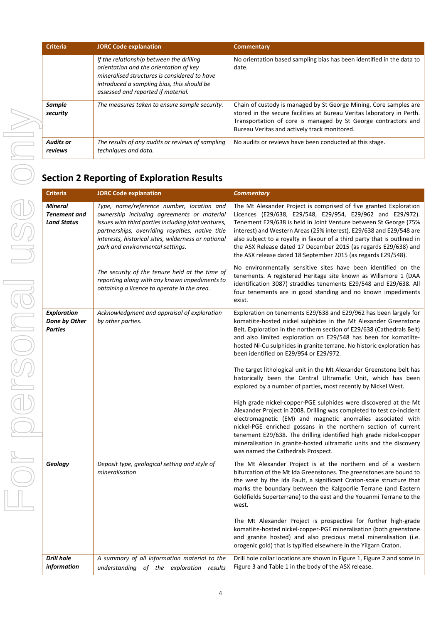| <b>Criteria</b>             | <b>JORC Code explanation</b>                                                                                                                                                                                           | <b>Commentary</b>                                                                                                                                                                                                                                             |
|-----------------------------|------------------------------------------------------------------------------------------------------------------------------------------------------------------------------------------------------------------------|---------------------------------------------------------------------------------------------------------------------------------------------------------------------------------------------------------------------------------------------------------------|
|                             | If the relationship between the drilling<br>orientation and the orientation of key<br>mineralised structures is considered to have<br>introduced a sampling bias, this should be<br>assessed and reported if material. | No orientation based sampling bias has been identified in the data to<br>date.                                                                                                                                                                                |
| Sample<br>security          | The measures taken to ensure sample security.                                                                                                                                                                          | Chain of custody is managed by St George Mining. Core samples are<br>stored in the secure facilities at Bureau Veritas laboratory in Perth.<br>Transportation of core is managed by St George contractors and<br>Bureau Veritas and actively track monitored. |
| <b>Audits or</b><br>reviews | The results of any audits or reviews of sampling<br>techniques and data.                                                                                                                                               | No audits or reviews have been conducted at this stage.                                                                                                                                                                                                       |
|                             | <b>Section 2 Reporting of Exploration Results</b>                                                                                                                                                                      |                                                                                                                                                                                                                                                               |

| <b>Criteria</b>                                             | <b>JORC Code explanation</b>                                                                                                                                                                                                                                                                  | <b>Commentary</b>                                                                                                                                                                                                                                                                                                                                                                                                                                                                          |
|-------------------------------------------------------------|-----------------------------------------------------------------------------------------------------------------------------------------------------------------------------------------------------------------------------------------------------------------------------------------------|--------------------------------------------------------------------------------------------------------------------------------------------------------------------------------------------------------------------------------------------------------------------------------------------------------------------------------------------------------------------------------------------------------------------------------------------------------------------------------------------|
| <b>Mineral</b><br><b>Tenement</b> and<br><b>Land Status</b> | Type, name/reference number, location and<br>ownership including agreements or material<br>issues with third parties including joint ventures,<br>partnerships, overriding royalties, native title<br>interests, historical sites, wilderness or national<br>park and environmental settings. | The Mt Alexander Project is comprised of five granted Exploration<br>Licences (E29/638, E29/548, E29/954, E29/962 and E29/972).<br>Tenement E29/638 is held in Joint Venture between St George (75%<br>interest) and Western Areas (25% interest). E29/638 and E29/548 are<br>also subject to a royalty in favour of a third party that is outlined in<br>the ASX Release dated 17 December 2015 (as regards E29/638) and<br>the ASX release dated 18 September 2015 (as regards E29/548). |
|                                                             | The security of the tenure held at the time of<br>reporting along with any known impediments to<br>obtaining a licence to operate in the area.                                                                                                                                                | No environmentally sensitive sites have been identified on the<br>tenements. A registered Heritage site known as Willsmore 1 (DAA<br>identification 3087) straddles tenements E29/548 and E29/638. All<br>four tenements are in good standing and no known impediments<br>exist.                                                                                                                                                                                                           |
| <b>Exploration</b><br>Done by Other<br><b>Parties</b>       | Acknowledgment and appraisal of exploration<br>by other parties.                                                                                                                                                                                                                              | Exploration on tenements E29/638 and E29/962 has been largely for<br>komatiite-hosted nickel sulphides in the Mt Alexander Greenstone<br>Belt. Exploration in the northern section of E29/638 (Cathedrals Belt)<br>and also limited exploration on E29/548 has been for komatiite-<br>hosted Ni-Cu sulphides in granite terrane. No historic exploration has<br>been identified on E29/954 or E29/972.                                                                                     |
|                                                             |                                                                                                                                                                                                                                                                                               | The target lithological unit in the Mt Alexander Greenstone belt has<br>historically been the Central Ultramafic Unit, which has been<br>explored by a number of parties, most recently by Nickel West.                                                                                                                                                                                                                                                                                    |
|                                                             |                                                                                                                                                                                                                                                                                               | High grade nickel-copper-PGE sulphides were discovered at the Mt<br>Alexander Project in 2008. Drilling was completed to test co-incident<br>electromagnetic (EM) and magnetic anomalies associated with<br>nickel-PGE enriched gossans in the northern section of current<br>tenement E29/638. The drilling identified high grade nickel-copper<br>mineralisation in granite-hosted ultramafic units and the discovery<br>was named the Cathedrals Prospect.                              |
| Geology                                                     | Deposit type, geological setting and style of<br>mineralisation                                                                                                                                                                                                                               | The Mt Alexander Project is at the northern end of a western<br>bifurcation of the Mt Ida Greenstones. The greenstones are bound to<br>the west by the Ida Fault, a significant Craton-scale structure that<br>marks the boundary between the Kalgoorlie Terrane (and Eastern<br>Goldfields Superterrane) to the east and the Youanmi Terrane to the<br>west.                                                                                                                              |
|                                                             |                                                                                                                                                                                                                                                                                               | The Mt Alexander Project is prospective for further high-grade<br>komatiite-hosted nickel-copper-PGE mineralisation (both greenstone<br>and granite hosted) and also precious metal mineralisation (i.e.<br>orogenic gold) that is typified elsewhere in the Yilgarn Craton.                                                                                                                                                                                                               |
| <b>Drill hole</b><br>information                            | A summary of all information material to the<br>understanding of the exploration results                                                                                                                                                                                                      | Drill hole collar locations are shown in Figure 1, Figure 2 and some in<br>Figure 3 and Table 1 in the body of the ASX release.                                                                                                                                                                                                                                                                                                                                                            |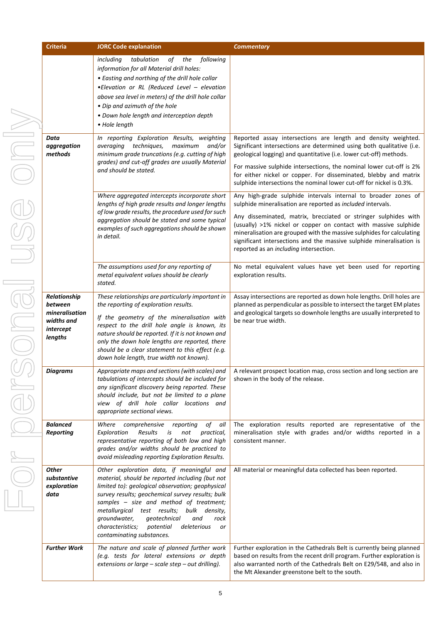| <b>Criteria</b>                                                                 | <b>JORC Code explanation</b>                                                                                                                                                                                                                                                                                                                                                                                                   | <b>Commentary</b>                                                                                                                                                                                                                                                                                                                                                                                                                                              |
|---------------------------------------------------------------------------------|--------------------------------------------------------------------------------------------------------------------------------------------------------------------------------------------------------------------------------------------------------------------------------------------------------------------------------------------------------------------------------------------------------------------------------|----------------------------------------------------------------------------------------------------------------------------------------------------------------------------------------------------------------------------------------------------------------------------------------------------------------------------------------------------------------------------------------------------------------------------------------------------------------|
|                                                                                 | tabulation<br>following<br>including<br>of<br>the<br>information for all Material drill holes:<br>• Easting and northing of the drill hole collar<br>.Elevation or RL (Reduced Level - elevation<br>above sea level in meters) of the drill hole collar<br>• Dip and azimuth of the hole<br>• Down hole length and interception depth<br>• Hole length                                                                         |                                                                                                                                                                                                                                                                                                                                                                                                                                                                |
| Data<br>aggregation<br>methods                                                  | In reporting Exploration Results, weighting<br>techniques,<br>maximum<br>and/or<br>averaging<br>minimum grade truncations (e.g. cutting of high<br>grades) and cut-off grades are usually Material<br>and should be stated.                                                                                                                                                                                                    | Reported assay intersections are length and density weighted.<br>Significant intersections are determined using both qualitative (i.e.<br>geological logging) and quantitative (i.e. lower cut-off) methods.<br>For massive sulphide intersections, the nominal lower cut-off is 2%<br>for either nickel or copper. For disseminated, blebby and matrix<br>sulphide intersections the nominal lower cut-off for nickel is 0.3%.                                |
|                                                                                 | Where aggregated intercepts incorporate short<br>lengths of high grade results and longer lengths<br>of low grade results, the procedure used for such<br>aggregation should be stated and some typical<br>examples of such aggregations should be shown<br>in detail.                                                                                                                                                         | Any high-grade sulphide intervals internal to broader zones of<br>sulphide mineralisation are reported as included intervals.<br>Any disseminated, matrix, brecciated or stringer sulphides with<br>(usually) >1% nickel or copper on contact with massive sulphide<br>mineralisation are grouped with the massive sulphides for calculating<br>significant intersections and the massive sulphide mineralisation is<br>reported as an including intersection. |
|                                                                                 | The assumptions used for any reporting of<br>metal equivalent values should be clearly<br>stated.                                                                                                                                                                                                                                                                                                                              | No metal equivalent values have yet been used for reporting<br>exploration results.                                                                                                                                                                                                                                                                                                                                                                            |
| Relationship<br>between<br>mineralisation<br>widths and<br>intercept<br>lengths | These relationships are particularly important in<br>the reporting of exploration results.<br>If the geometry of the mineralisation with<br>respect to the drill hole angle is known, its<br>nature should be reported. If it is not known and<br>only the down hole lengths are reported, there<br>should be a clear statement to this effect (e.g.<br>down hole length, true width not known).                               | Assay intersections are reported as down hole lengths. Drill holes are<br>planned as perpendicular as possible to intersect the target EM plates<br>and geological targets so downhole lengths are usually interpreted to<br>be near true width.                                                                                                                                                                                                               |
| Diaarams                                                                        | Appropriate maps and sections (with scales) and<br>tabulations of intercepts should be included for<br>any significant discovery being reported. These<br>should include, but not be limited to a plane<br>view of drill hole collar locations and<br>appropriate sectional views.                                                                                                                                             | A relevant prospect location map, cross section and long section are<br>shown in the body of the release.                                                                                                                                                                                                                                                                                                                                                      |
| <b>Balanced</b><br><b>Reporting</b>                                             | Where comprehensive reporting<br>of all<br>Exploration<br>Results<br>is<br>not<br>practical,<br>representative reporting of both low and high<br>grades and/or widths should be practiced to<br>avoid misleading reporting Exploration Results.                                                                                                                                                                                | The exploration results reported are representative of the<br>mineralisation style with grades and/or widths reported in a<br>consistent manner.                                                                                                                                                                                                                                                                                                               |
| <b>Other</b><br>substantive<br>exploration<br>data                              | Other exploration data, if meaningful and<br>material, should be reported including (but not<br>limited to): geological observation; geophysical<br>survey results; geochemical survey results; bulk<br>samples - size and method of treatment;<br>metallurgical test results; bulk density,<br>groundwater,<br>qeotechnical<br>and<br>rock<br>characteristics;<br>potential<br>deleterious<br>or<br>contaminating substances. | All material or meaningful data collected has been reported.                                                                                                                                                                                                                                                                                                                                                                                                   |
| <b>Further Work</b>                                                             | The nature and scale of planned further work<br>(e.g. tests for lateral extensions or depth<br>extensions or large $-$ scale step $-$ out drilling).                                                                                                                                                                                                                                                                           | Further exploration in the Cathedrals Belt is currently being planned<br>based on results from the recent drill program. Further exploration is<br>also warranted north of the Cathedrals Belt on E29/548, and also in<br>the Mt Alexander greenstone belt to the south.                                                                                                                                                                                       |